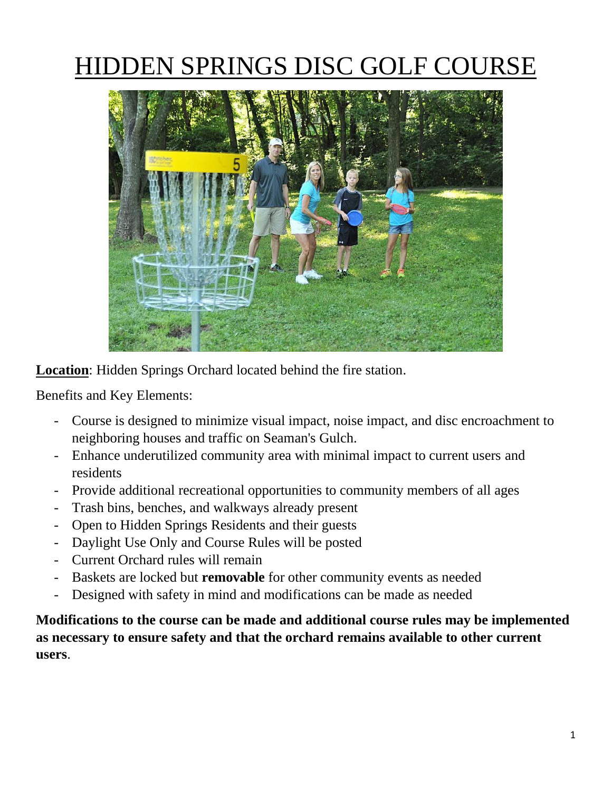# HIDDEN SPRINGS DISC GOLF COURSE



**Location**: Hidden Springs Orchard located behind the fire station.

Benefits and Key Elements:

- Course is designed to minimize visual impact, noise impact, and disc encroachment to neighboring houses and traffic on Seaman's Gulch.
- Enhance underutilized community area with minimal impact to current users and residents
- Provide additional recreational opportunities to community members of all ages
- Trash bins, benches, and walkways already present
- Open to Hidden Springs Residents and their guests
- Daylight Use Only and Course Rules will be posted
- Current Orchard rules will remain
- Baskets are locked but **removable** for other community events as needed
- Designed with safety in mind and modifications can be made as needed

**Modifications to the course can be made and additional course rules may be implemented as necessary to ensure safety and that the orchard remains available to other current users**.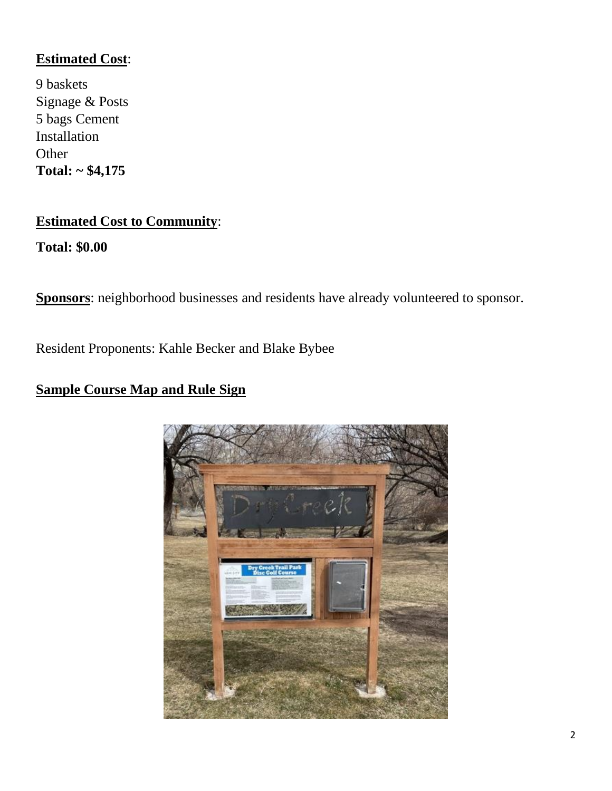#### **Estimated Cost**:

9 baskets Signage & Posts 5 bags Cement Installation **Other Total: ~ \$4,175**

#### **Estimated Cost to Community**:

**Total: \$0.00**

**Sponsors**: neighborhood businesses and residents have already volunteered to sponsor.

Resident Proponents: Kahle Becker and Blake Bybee

#### **Sample Course Map and Rule Sign**

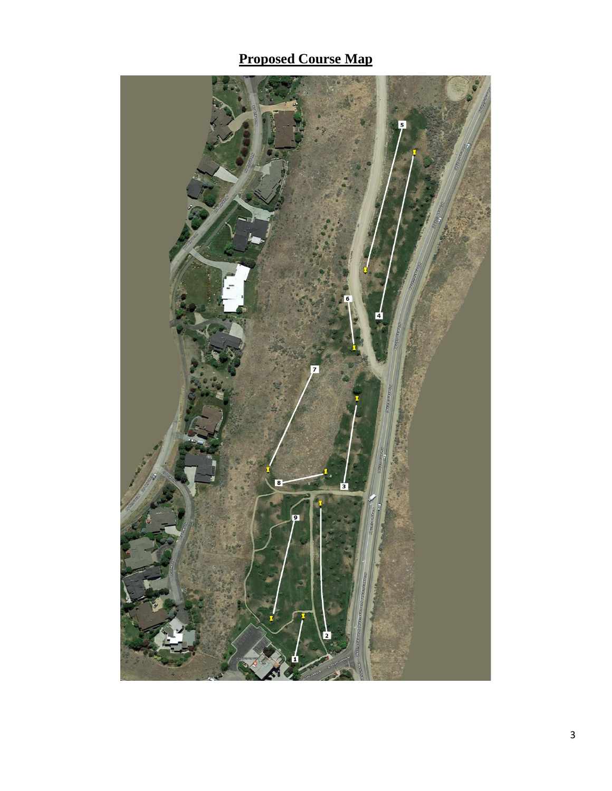## **Proposed Course Map**